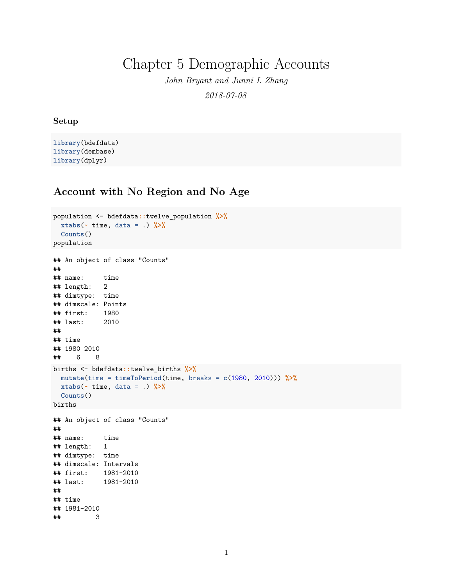Chapter 5 Demographic Accounts

*John Bryant and Junni L Zhang 2018-07-08*

## **Setup**

**library**(bdefdata) **library**(dembase) **library**(dplyr)

## **Account with No Region and No Age**

```
population <- bdefdata::twelve_population %>%
 xtabs(~ time, data = .) %>%
 Counts()
population
## An object of class "Counts"
##
## name: time
## length: 2
## dimtype: time
## dimscale: Points
## first: 1980
## last: 2010
##
## time
## 1980 2010
## 6 8
births <- bdefdata::twelve_births %>%
 mutate(time = timeToPeriod(time, breaks = c(1980, 2010))) %>%
 xtabs(~ time, data = .) %>%
 Counts()
births
## An object of class "Counts"
##
## name: time
## length: 1
## dimtype: time
## dimscale: Intervals
## first: 1981-2010
## last:
##
## time
## 1981-2010
## 3
```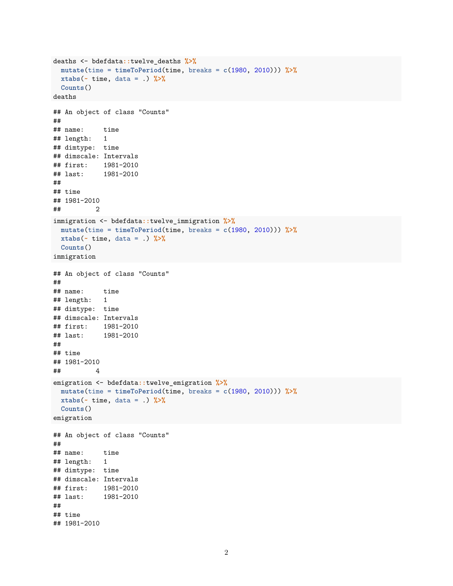```
deaths <- bdefdata::twelve_deaths %>%
 mutate(time = timeToPeriod(time, breaks = c(1980, 2010))) %>%
 xtabs(~ time, data = .) %>%
 Counts()
deaths
## An object of class "Counts"
##
## name: time
## length: 1
## dimtype: time
## dimscale: Intervals
## first: 1981-2010
## last: 1981-2010
##
## time
## 1981-2010
## 2
immigration <- bdefdata::twelve_immigration %>%
 mutate(time = timeToPeriod(time, breaks = c(1980, 2010))) %>%
 xtabs(~ time, data = .) %>%
 Counts()
immigration
## An object of class "Counts"
##
## name: time
## length: 1
## dimtype: time
## dimscale: Intervals
## first: 1981-2010
## last: 1981-2010
##
## time
## 1981-2010
## 4
emigration <- bdefdata::twelve_emigration %>%
 mutate(time = timeToPeriod(time, breaks = c(1980, 2010))) %>%
 xtabs(~ time, data = .) %>%
 Counts()
emigration
## An object of class "Counts"
##
## name: time
## length: 1
## dimtype: time
## dimscale: Intervals
## first: 1981-2010
## last: 1981-2010
##
## time
## 1981-2010
```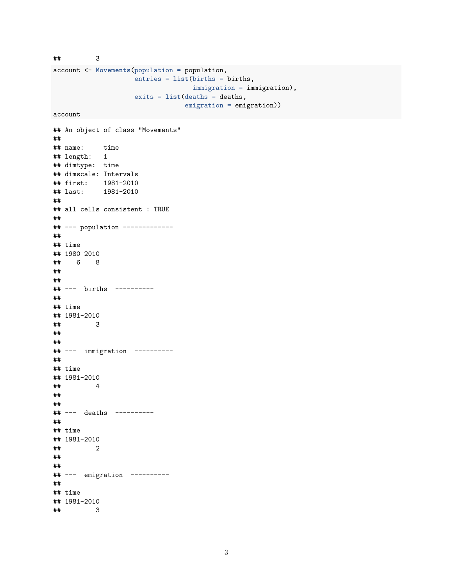```
account <- Movements(population = population,
                   entries = list(births = births,
                                immigration = immigration),
                   exits = list(deaths = deaths,
                               emigration = emigration))
account
## An object of class "Movements"
##
## name: time
## length: 1
## dimtype: time
## dimscale: Intervals
## first: 1981-2010
## last: 1981-2010
##
## all cells consistent : TRUE
##
## --- population -------------
##
## time
## 1980 2010
## 6 8
##
##
## --- births ----------
##
## time
## 1981-2010
## 3
##
##
## --- immigration ----------
##
## time
## 1981-2010
## 4
##
##
## --- deaths ----------
##
## time
## 1981-2010
## 2
##
##
## --- emigration ----------
##
## time
## 1981-2010
## 3
```
## 3

```
3
```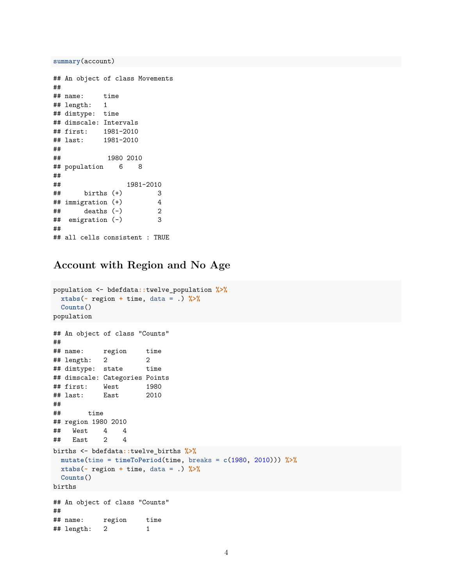**summary**(account)

```
## An object of class Movements
##
## name: time
## length: 1
## dimtype: time
## dimscale: Intervals
## first: 1981-2010
## last: 1981-2010
##
## 1980 2010
## population 6 8
##
## 1981-2010
## births (+) 3
## immigration (+) 4
\## deaths (-) 2
## emigration (-) 3
##
## all cells consistent : TRUE
```
## **Account with Region and No Age**

```
population <- bdefdata::twelve_population %>%
 xtabs(~ region + time, data = .) %>%
 Counts()
population
## An object of class "Counts"
##
## name: region time
## length: 2 2
## dimtype: state time
## dimscale: Categories Points
## first: West 1980
## last: East 2010
##
## time
## region 1980 2010
## West 4 4
## East 2 4
births <- bdefdata::twelve_births %>%
 mutate(time = timeToPeriod(time, breaks = c(1980, 2010))) %>%
 xtabs(~ region + time, data = .) %>%
 Counts()
births
## An object of class "Counts"
##
## name: region time
## length: 2 1
```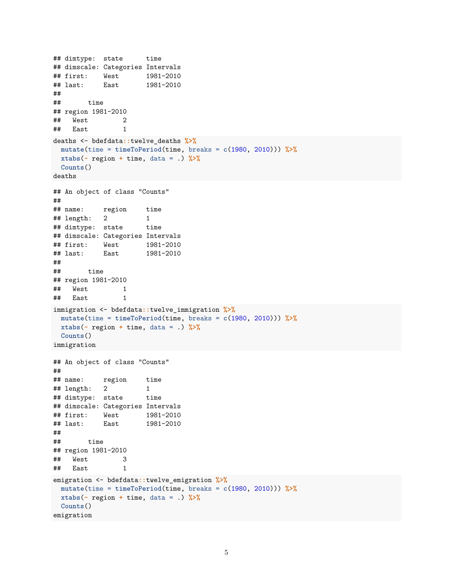```
## dimtype: state time
## dimscale: Categories Intervals
## first: West 1981-2010
## last: East 1981-2010
##
## time
## region 1981-2010
## West 2
## East 1
deaths <- bdefdata::twelve_deaths %>%
 mutate(time = timeToPeriod(time, breaks = c(1980, 2010))) %>%
 xtabs(~ region + time, data = .) %>%
 Counts()
deaths
## An object of class "Counts"
##
## name: region time
## length: 2 1
## dimtype: state time
## dimscale: Categories Intervals
## first: West 1981-2010
## last: East 1981-2010
##
## time
## region 1981-2010
## West 1
## East 1
immigration <- bdefdata::twelve_immigration %>%
 mutate(time = timeToPeriod(time, breaks = c(1980, 2010))) %>%
 xtabs(~ region + time, data = .) %>%
 Counts()
immigration
## An object of class "Counts"
##
## name: region time
## length: 2 1
## dimtype: state time
## dimscale: Categories Intervals
## first: West 1981-2010
## last: East 1981-2010
##
## time
## region 1981-2010
## West 3
## East 1
emigration <- bdefdata::twelve_emigration %>%
 mutate(time = timeToPeriod(time, breaks = c(1980, 2010))) %>%
 xtabs(~ region + time, data = .) %>%
 Counts()
emigration
```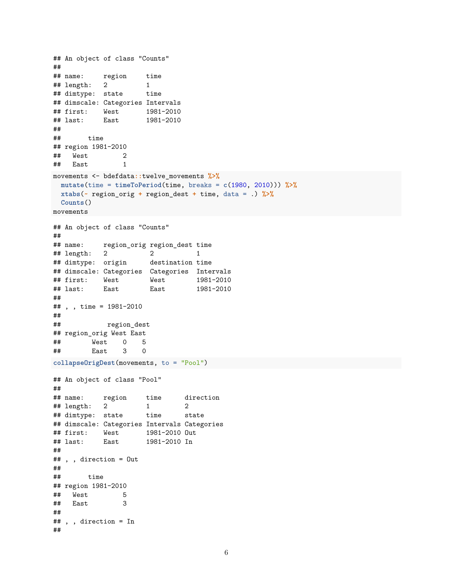```
## An object of class "Counts"
##
## name: region time
## length: 2 1
## dimtype: state time
## dimscale: Categories Intervals
## first: West 1981-2010
## last: East 1981-2010
##
## time
## region 1981-2010
## West 2
## East 1
movements <- bdefdata::twelve_movements %>%
 mutate(time = timeToPeriod(time, breaks = c(1980, 2010))) %>%
 xtabs(~ region_orig + region_dest + time, data = .) %>%
 Counts()
movements
## An object of class "Counts"
##
## name: region_orig region_dest time
## length: 2 2 1
## dimtype: origin destination time
## dimscale: Categories Categories Intervals
## first: West West 1981-2010
## last: East East 1981-2010
##
## , , time = 1981-2010
##
## region_dest
## region_orig West East
## West 0 5
        East
collapseOrigDest(movements, to = "Pool")
## An object of class "Pool"
##
## name: region time direction
## length: 2 1 2
## dimtype: state time state
## dimscale: Categories Intervals Categories
## first: West 1981-2010 Out
## last: East 1981-2010 In
##
## , , direction = Out
##
## time
## region 1981-2010
## West 5
## East 3
##
## , , direction = In
##
```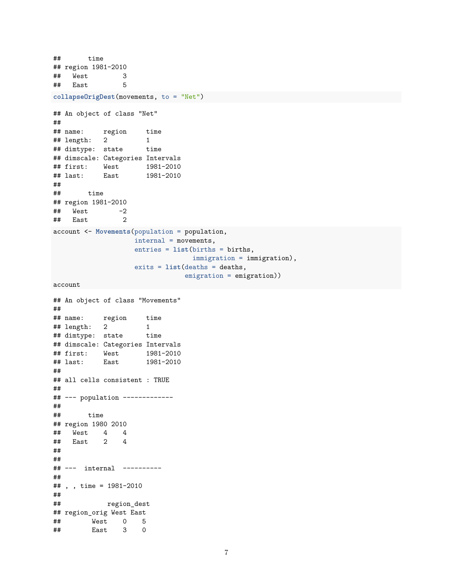```
## time
## region 1981-2010
## West 3
## East 5
collapseOrigDest(movements, to = "Net")
## An object of class "Net"
##
## name: region time
## length: 2 1
## dimtype: state time
## dimscale: Categories Intervals
## first: West 1981-2010
## last: East 1981-2010
##
## time
## region 1981-2010
\## West -2## East 2
account <- Movements(population = population,
                 internal = movements,
                 entries = list(births = births,
                              immigration = immigration),
                 exits = list(deaths = deaths,
                            emigration = emigration))
account
## An object of class "Movements"
##
## name: region time
## length: 2 1
## dimtype: state time
## dimscale: Categories Intervals
## first: West 1981-2010
## last: East 1981-2010
##
## all cells consistent : TRUE
##
## --- population -------------
##
## time
## region 1980 2010
## West 4 4
## East 2 4
##
##
## --- internal ----------
##
## , , time = 1981-2010
##
## region_dest
## region_orig West East
## West 0 5
## East 3 0
```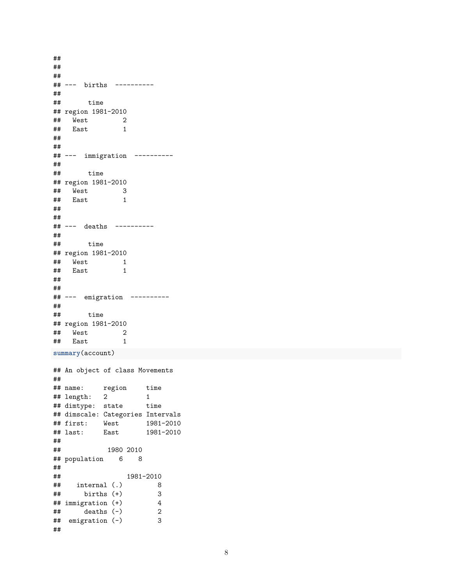## ## ## ## --- births ---------- ## ## time ## region 1981-2010 ## West 2 ## East 1 ## ## ## --- immigration ---------- ## ## time ## region 1981-2010 ## West 3 ## East 1 ## ## ## --- deaths ---------- ## ## time ## region 1981-2010 ## West 1<br>## East 1 ## East 1 ## ## ## --- emigration ---------- ## ## time ## region 1981-2010 ## West 2<br>## East 1 ## East 1 **summary**(account) ## An object of class Movements ## ## name: region time ## length: 2 1 ## dimtype: state time ## dimscale: Categories Intervals ## first: West 1981-2010 ## last: East 1981-2010 ## ## 1980 2010 ## population 6 8 ## ## 1981-2010 ## internal (.) 8  $\frac{***}{***}$  births (+) 3<br> $\frac{***}{**}$  immigration (+) 4  $\begin{array}{ccc}\n# & \text{immigration (+)} \\
# & \text{deaths (-)} \\
2\n\end{array}$  $##$  deaths  $(-)$ ## emigration (-) 3 ##